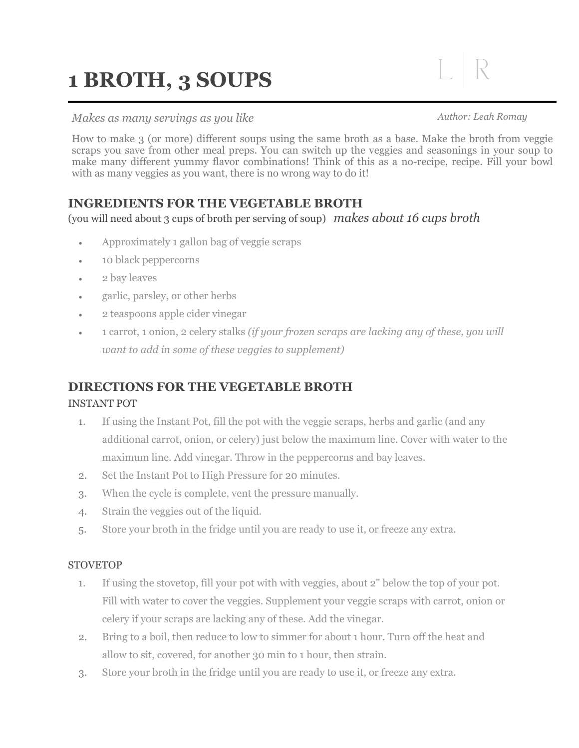# **1 BROTH, 3 SOUPS**

### *Makes as many servings as you like*

*Author: Leah Romay* 

 $\perp$  R

How to make 3 (or more) different soups using the same broth as a base. Make the broth from veggie scraps you save from other meal preps. You can switch up the veggies and seasonings in your soup to make many different yummy flavor combinations! Think of this as a no-recipe, recipe. Fill your bowl with as many veggies as you want, there is no wrong way to do it!

## **INGREDIENTS FOR THE VEGETABLE BROTH**

(you will need about 3 cups of broth per serving of soup) *makes about 16 cups broth* 

- Approximately 1 gallon bag of veggie scraps
- **10 black peppercorns**
- 2 bay leaves
- garlic, parsley, or other herbs
- 2 teaspoons apple cider vinegar
- 1 carrot, 1 onion, 2 celery stalks *(if your frozen scraps are lacking any of these, you will want to add in some of these veggies to supplement)*

## **DIRECTIONS FOR THE VEGETABLE BROTH**

#### INSTANT POT

- 1. If using the Instant Pot, fill the pot with the veggie scraps, herbs and garlic (and any additional carrot, onion, or celery) just below the maximum line. Cover with water to the maximum line. Add vinegar. Throw in the peppercorns and bay leaves.
- 2. Set the Instant Pot to High Pressure for 20 minutes.
- 3. When the cycle is complete, vent the pressure manually.
- 4. Strain the veggies out of the liquid.
- 5. Store your broth in the fridge until you are ready to use it, or freeze any extra.

#### **STOVETOP**

- 1. If using the stovetop, fill your pot with with veggies, about 2" below the top of your pot. Fill with water to cover the veggies. Supplement your veggie scraps with carrot, onion or celery if your scraps are lacking any of these. Add the vinegar.
- 2. Bring to a boil, then reduce to low to simmer for about 1 hour. Turn off the heat and allow to sit, covered, for another 30 min to 1 hour, then strain.
- 3. Store your broth in the fridge until you are ready to use it, or freeze any extra.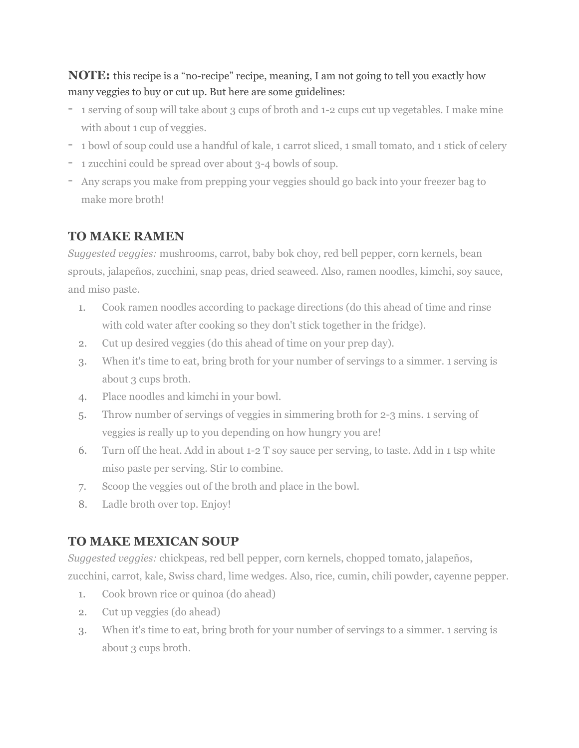## **NOTE:** this recipe is a "no-recipe" recipe, meaning, I am not going to tell you exactly how many veggies to buy or cut up. But here are some guidelines:

- **-** 1 serving of soup will take about 3 cups of broth and 1-2 cups cut up vegetables. I make mine with about 1 cup of veggies.
- **-** 1 bowl of soup could use a handful of kale, 1 carrot sliced, 1 small tomato, and 1 stick of celery
- **-** 1 zucchini could be spread over about 3-4 bowls of soup.
- **-** Any scraps you make from prepping your veggies should go back into your freezer bag to make more broth!

## **TO MAKE RAMEN**

*Suggested veggies:* mushrooms, carrot, baby bok choy, red bell pepper, corn kernels, bean sprouts, jalapeños, zucchini, snap peas, dried seaweed. Also, ramen noodles, kimchi, soy sauce, and miso paste.

- 1. Cook ramen noodles according to package directions (do this ahead of time and rinse with cold water after cooking so they don't stick together in the fridge).
- 2. Cut up desired veggies (do this ahead of time on your prep day).
- 3. When it's time to eat, bring broth for your number of servings to a simmer. 1 serving is about 3 cups broth.
- 4. Place noodles and kimchi in your bowl.
- 5. Throw number of servings of veggies in simmering broth for 2-3 mins. 1 serving of veggies is really up to you depending on how hungry you are!
- 6. Turn off the heat. Add in about 1-2 T soy sauce per serving, to taste. Add in 1 tsp white miso paste per serving. Stir to combine.
- 7. Scoop the veggies out of the broth and place in the bowl.
- 8. Ladle broth over top. Enjoy!

## **TO MAKE MEXICAN SOUP**

*Suggested veggies:* chickpeas, red bell pepper, corn kernels, chopped tomato, jalapeños, zucchini, carrot, kale, Swiss chard, lime wedges. Also, rice, cumin, chili powder, cayenne pepper.

- 1. Cook brown rice or quinoa (do ahead)
- 2. Cut up veggies (do ahead)
- 3. When it's time to eat, bring broth for your number of servings to a simmer. 1 serving is about 3 cups broth.